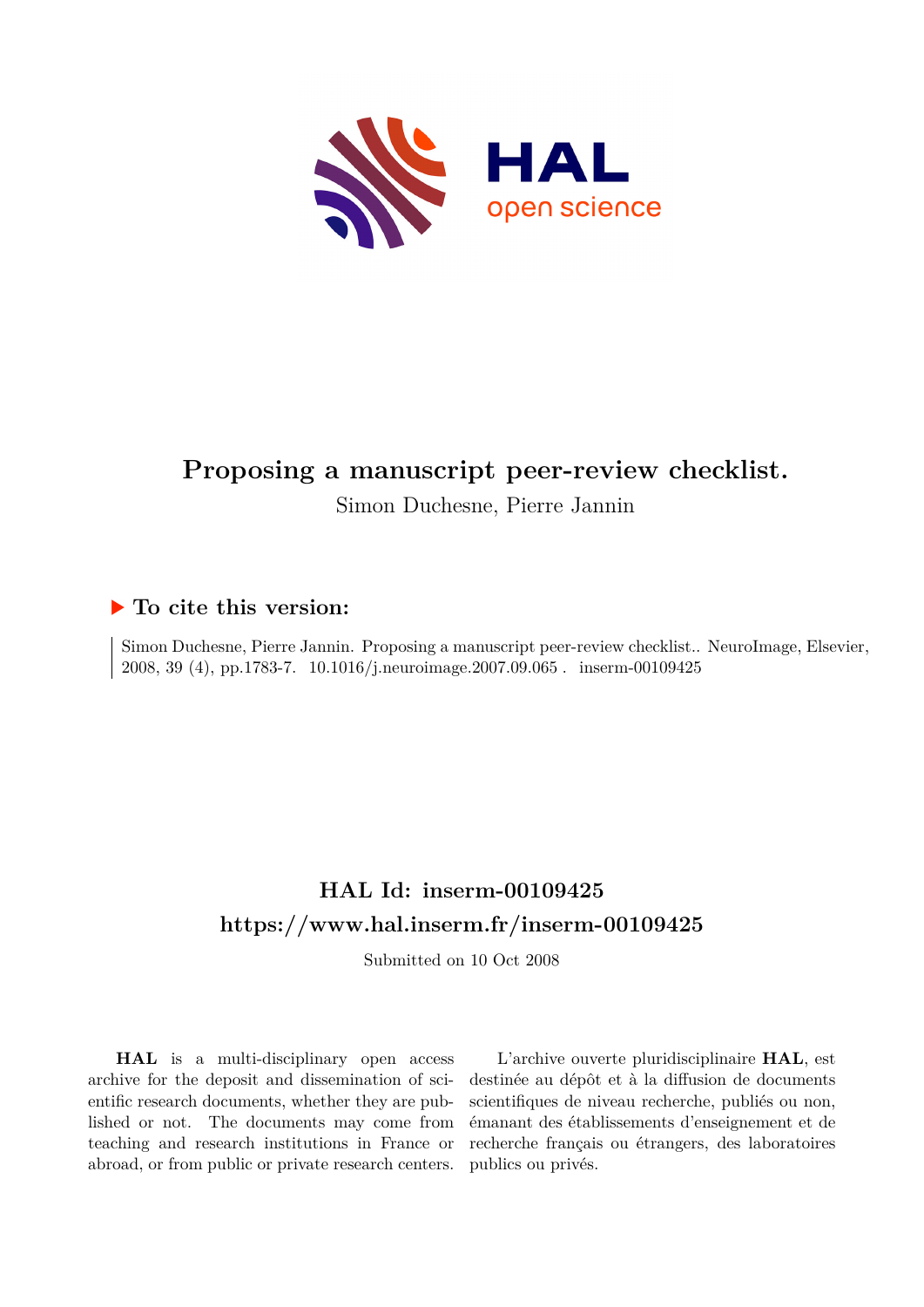

# **Proposing a manuscript peer-review checklist.**

Simon Duchesne, Pierre Jannin

## **To cite this version:**

Simon Duchesne, Pierre Jannin. Proposing a manuscript peer-review checklist.. NeuroImage, Elsevier, 2008, 39 (4), pp.1783-7. 10.1016/j.neuroimage.2007.09.065. inserm-00109425

# **HAL Id: inserm-00109425 <https://www.hal.inserm.fr/inserm-00109425>**

Submitted on 10 Oct 2008

**HAL** is a multi-disciplinary open access archive for the deposit and dissemination of scientific research documents, whether they are published or not. The documents may come from teaching and research institutions in France or abroad, or from public or private research centers.

L'archive ouverte pluridisciplinaire **HAL**, est destinée au dépôt et à la diffusion de documents scientifiques de niveau recherche, publiés ou non, émanant des établissements d'enseignement et de recherche français ou étrangers, des laboratoires publics ou privés.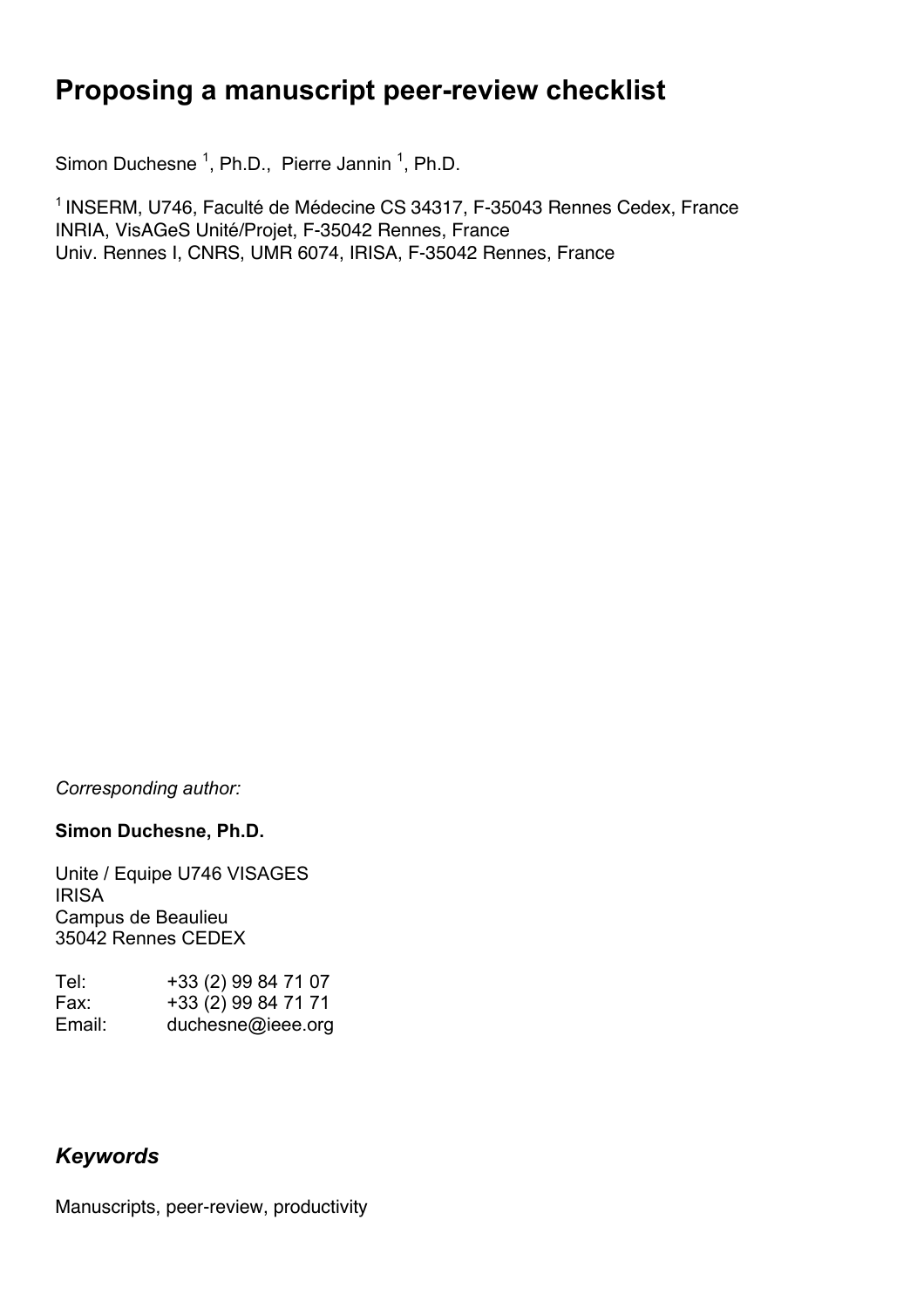# **Proposing a manuscript peer-review checklist**

Simon Duchesne<sup>1</sup>, Ph.D., Pierre Jannin<sup>1</sup>, Ph.D.

<sup>1</sup> INSERM, U746, Faculté de Médecine CS 34317, F-35043 Rennes Cedex, France INRIA, VisAGeS Unité/Projet, F-35042 Rennes, France Univ. Rennes I, CNRS, UMR 6074, IRISA, F-35042 Rennes, France

*Corresponding author:*

### **Simon Duchesne, Ph.D.**

Unite / Equipe U746 VISAGES IRISA Campus de Beaulieu 35042 Rennes CEDEX

| Tel:   | +33 (2) 99 84 71 07 |
|--------|---------------------|
| Fax:   | +33 (2) 99 84 71 71 |
| Email: | duchesne@ieee.org   |

# *Keywords*

Manuscripts, peer-review, productivity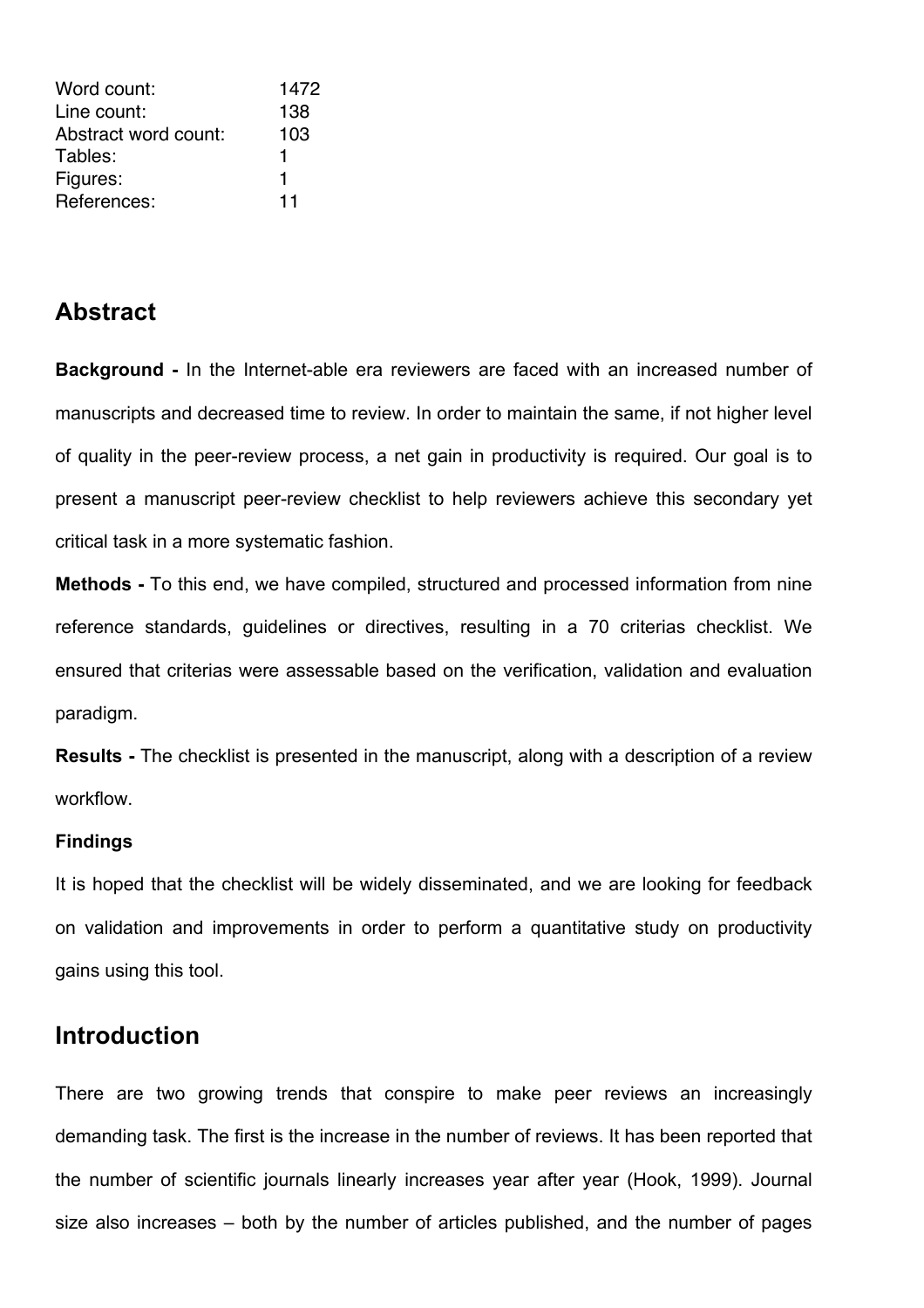| Word count:          | 1472 |
|----------------------|------|
| Line count:          | 138  |
| Abstract word count: | 103  |
| Tables:              |      |
| Figures:             | 1    |
| References:          | 11   |

## **Abstract**

**Background -** In the Internet-able era reviewers are faced with an increased number of manuscripts and decreased time to review. In order to maintain the same, if not higher level of quality in the peer-review process, a net gain in productivity is required. Our goal is to present a manuscript peer-review checklist to help reviewers achieve this secondary yet critical task in a more systematic fashion.

**Methods -** To this end, we have compiled, structured and processed information from nine reference standards, guidelines or directives, resulting in a 70 criterias checklist. We ensured that criterias were assessable based on the verification, validation and evaluation paradigm.

**Results -** The checklist is presented in the manuscript, along with a description of a review workflow.

#### **Findings**

It is hoped that the checklist will be widely disseminated, and we are looking for feedback on validation and improvements in order to perform a quantitative study on productivity gains using this tool.

# **Introduction**

There are two growing trends that conspire to make peer reviews an increasingly demanding task. The first is the increase in the number of reviews. It has been reported that the number of scientific journals linearly increases year after year (Hook, 1999). Journal size also increases – both by the number of articles published, and the number of pages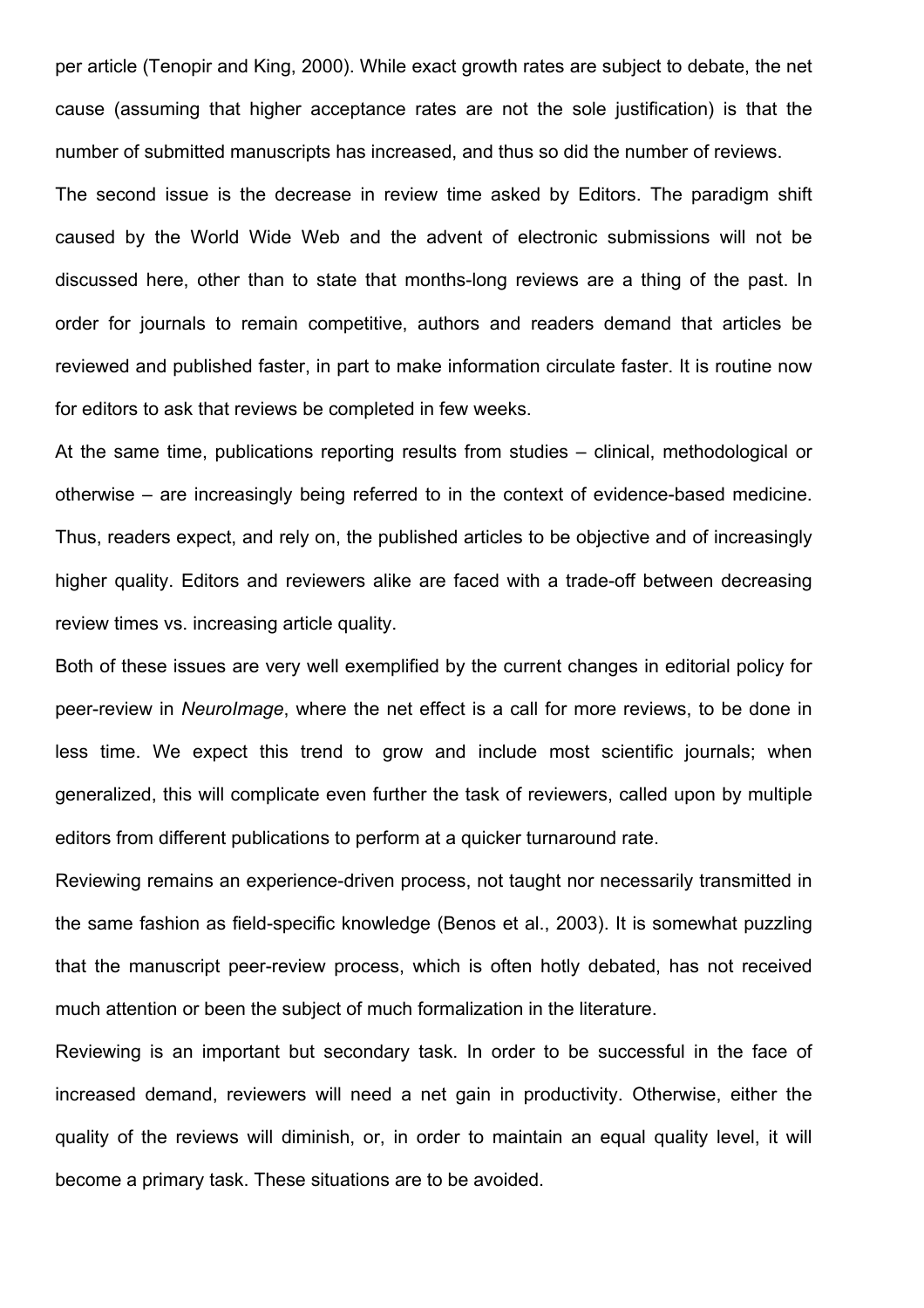per article (Tenopir and King, 2000). While exact growth rates are subject to debate, the net cause (assuming that higher acceptance rates are not the sole justification) is that the number of submitted manuscripts has increased, and thus so did the number of reviews.

The second issue is the decrease in review time asked by Editors. The paradigm shift caused by the World Wide Web and the advent of electronic submissions will not be discussed here, other than to state that months-long reviews are a thing of the past. In order for journals to remain competitive, authors and readers demand that articles be reviewed and published faster, in part to make information circulate faster. It is routine now for editors to ask that reviews be completed in few weeks.

At the same time, publications reporting results from studies – clinical, methodological or otherwise – are increasingly being referred to in the context of evidence-based medicine. Thus, readers expect, and rely on, the published articles to be objective and of increasingly higher quality. Editors and reviewers alike are faced with a trade-off between decreasing review times vs. increasing article quality.

Both of these issues are very well exemplified by the current changes in editorial policy for peer-review in *NeuroImage*, where the net effect is a call for more reviews, to be done in less time. We expect this trend to grow and include most scientific journals; when generalized, this will complicate even further the task of reviewers, called upon by multiple editors from different publications to perform at a quicker turnaround rate.

Reviewing remains an experience-driven process, not taught nor necessarily transmitted in the same fashion as field-specific knowledge (Benos et al., 2003). It is somewhat puzzling that the manuscript peer-review process, which is often hotly debated, has not received much attention or been the subject of much formalization in the literature.

Reviewing is an important but secondary task. In order to be successful in the face of increased demand, reviewers will need a net gain in productivity. Otherwise, either the quality of the reviews will diminish, or, in order to maintain an equal quality level, it will become a primary task. These situations are to be avoided.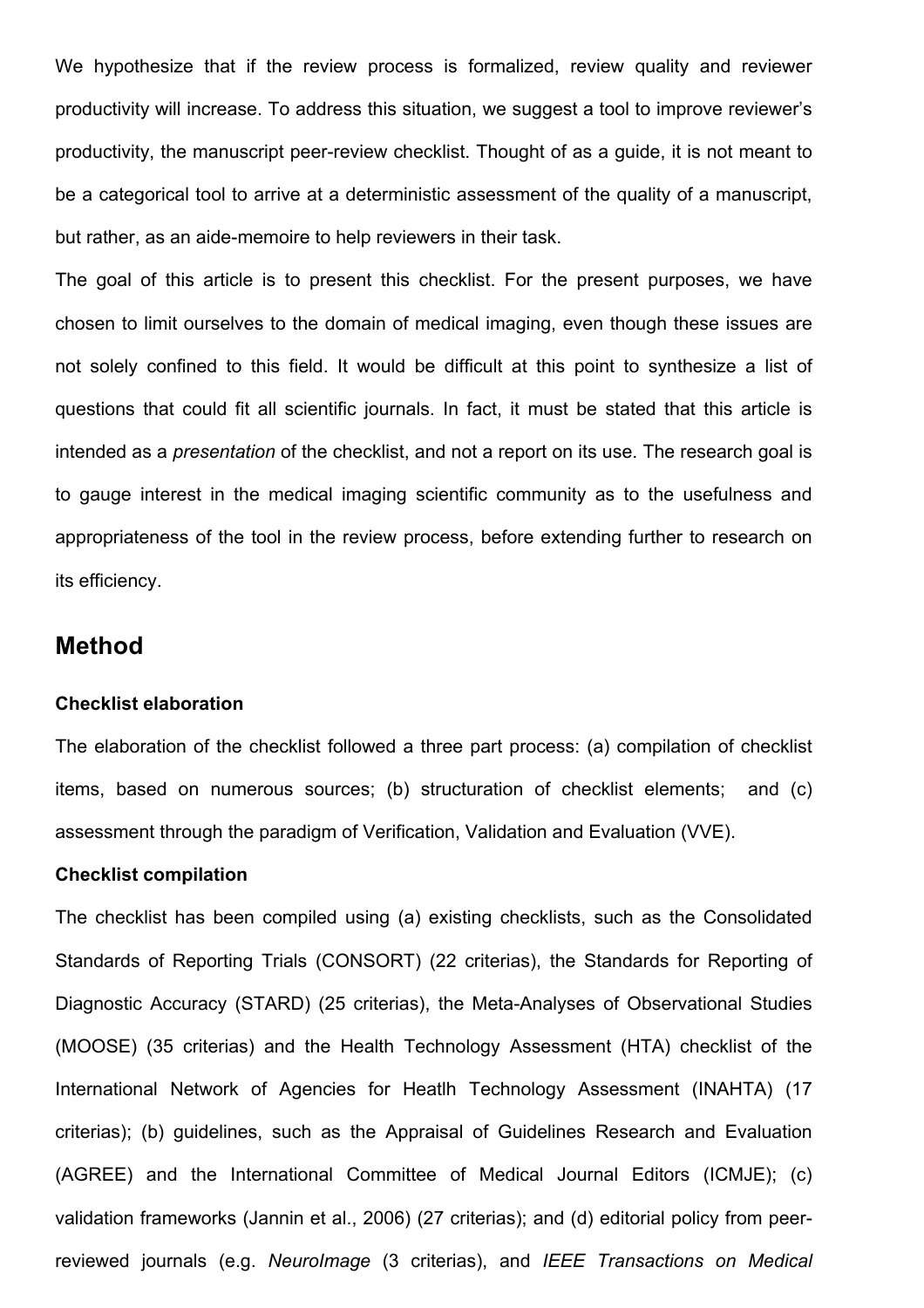We hypothesize that if the review process is formalized, review quality and reviewer productivity will increase. To address this situation, we suggest a tool to improve reviewer's productivity, the manuscript peer-review checklist. Thought of as a guide, it is not meant to be a categorical tool to arrive at a deterministic assessment of the quality of a manuscript, but rather, as an aide-memoire to help reviewers in their task.

The goal of this article is to present this checklist. For the present purposes, we have chosen to limit ourselves to the domain of medical imaging, even though these issues are not solely confined to this field. It would be difficult at this point to synthesize a list of questions that could fit all scientific journals. In fact, it must be stated that this article is intended as a *presentation* of the checklist, and not a report on its use. The research goal is to gauge interest in the medical imaging scientific community as to the usefulness and appropriateness of the tool in the review process, before extending further to research on its efficiency.

### **Method**

#### **Checklist elaboration**

The elaboration of the checklist followed a three part process: (a) compilation of checklist items, based on numerous sources; (b) structuration of checklist elements; and (c) assessment through the paradigm of Verification, Validation and Evaluation (VVE).

#### **Checklist compilation**

The checklist has been compiled using (a) existing checklists, such as the Consolidated Standards of Reporting Trials (CONSORT) (22 criterias), the Standards for Reporting of Diagnostic Accuracy (STARD) (25 criterias), the Meta-Analyses of Observational Studies (MOOSE) (35 criterias) and the Health Technology Assessment (HTA) checklist of the International Network of Agencies for Heatlh Technology Assessment (INAHTA) (17 criterias); (b) guidelines, such as the Appraisal of Guidelines Research and Evaluation (AGREE) and the International Committee of Medical Journal Editors (ICMJE); (c) validation frameworks (Jannin et al., 2006) (27 criterias); and (d) editorial policy from peerreviewed journals (e.g. *NeuroImage* (3 criterias), and *IEEE Transactions on Medical*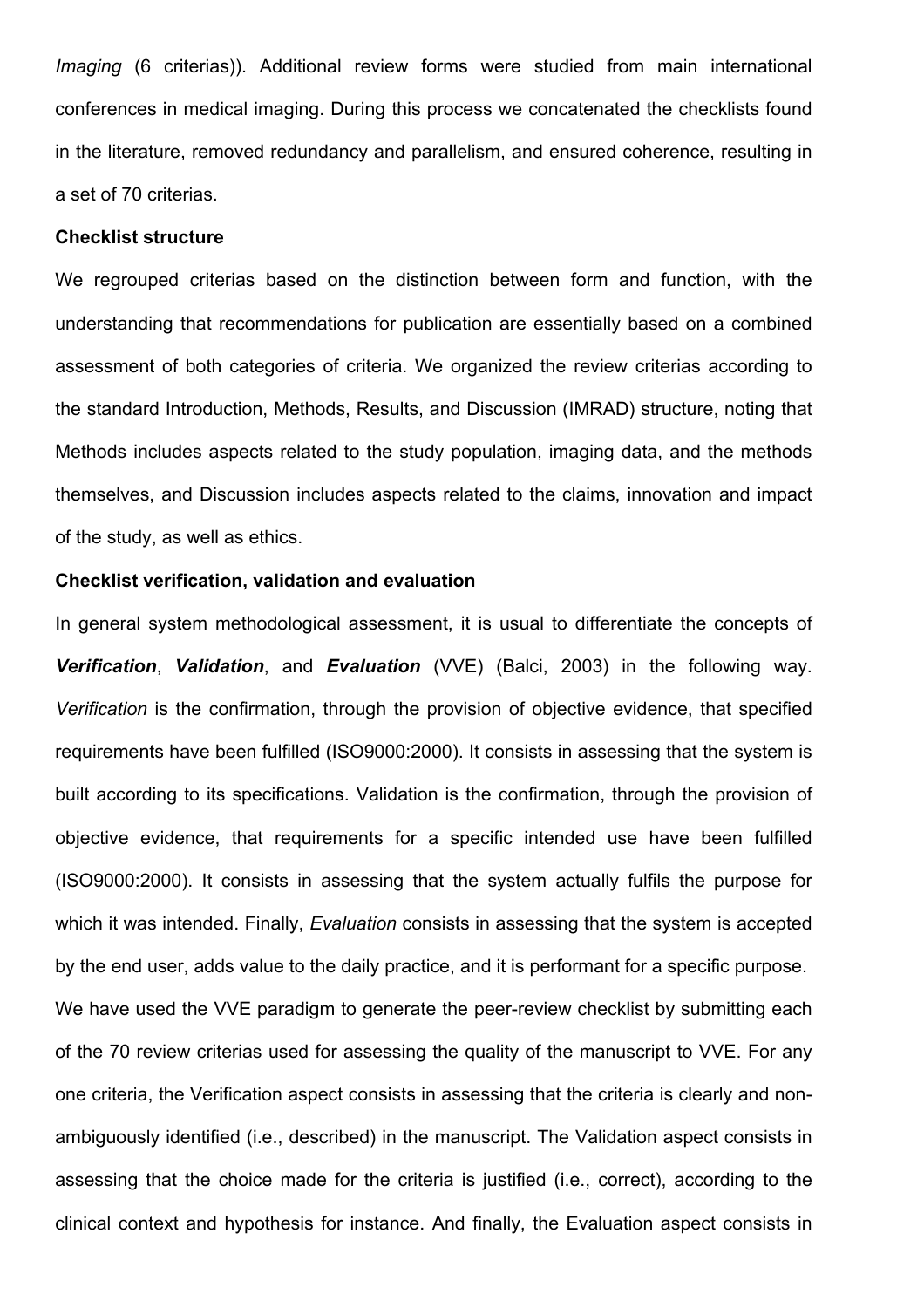*Imaging* (6 criterias)). Additional review forms were studied from main international conferences in medical imaging. During this process we concatenated the checklists found in the literature, removed redundancy and parallelism, and ensured coherence, resulting in a set of 70 criterias.

#### **Checklist structure**

We regrouped criterias based on the distinction between form and function, with the understanding that recommendations for publication are essentially based on a combined assessment of both categories of criteria. We organized the review criterias according to the standard Introduction, Methods, Results, and Discussion (IMRAD) structure, noting that Methods includes aspects related to the study population, imaging data, and the methods themselves, and Discussion includes aspects related to the claims, innovation and impact of the study, as well as ethics.

#### **Checklist verification, validation and evaluation**

In general system methodological assessment, it is usual to differentiate the concepts of *Verification*, *Validation*, and *Evaluation* (VVE) (Balci, 2003) in the following way. *Verification* is the confirmation, through the provision of objective evidence, that specified requirements have been fulfilled (ISO9000:2000). It consists in assessing that the system is built according to its specifications. Validation is the confirmation, through the provision of objective evidence, that requirements for a specific intended use have been fulfilled (ISO9000:2000). It consists in assessing that the system actually fulfils the purpose for which it was intended. Finally, *Evaluation* consists in assessing that the system is accepted by the end user, adds value to the daily practice, and it is performant for a specific purpose. We have used the VVE paradigm to generate the peer-review checklist by submitting each of the 70 review criterias used for assessing the quality of the manuscript to VVE. For any one criteria, the Verification aspect consists in assessing that the criteria is clearly and nonambiguously identified (i.e., described) in the manuscript. The Validation aspect consists in assessing that the choice made for the criteria is justified (i.e., correct), according to the clinical context and hypothesis for instance. And finally, the Evaluation aspect consists in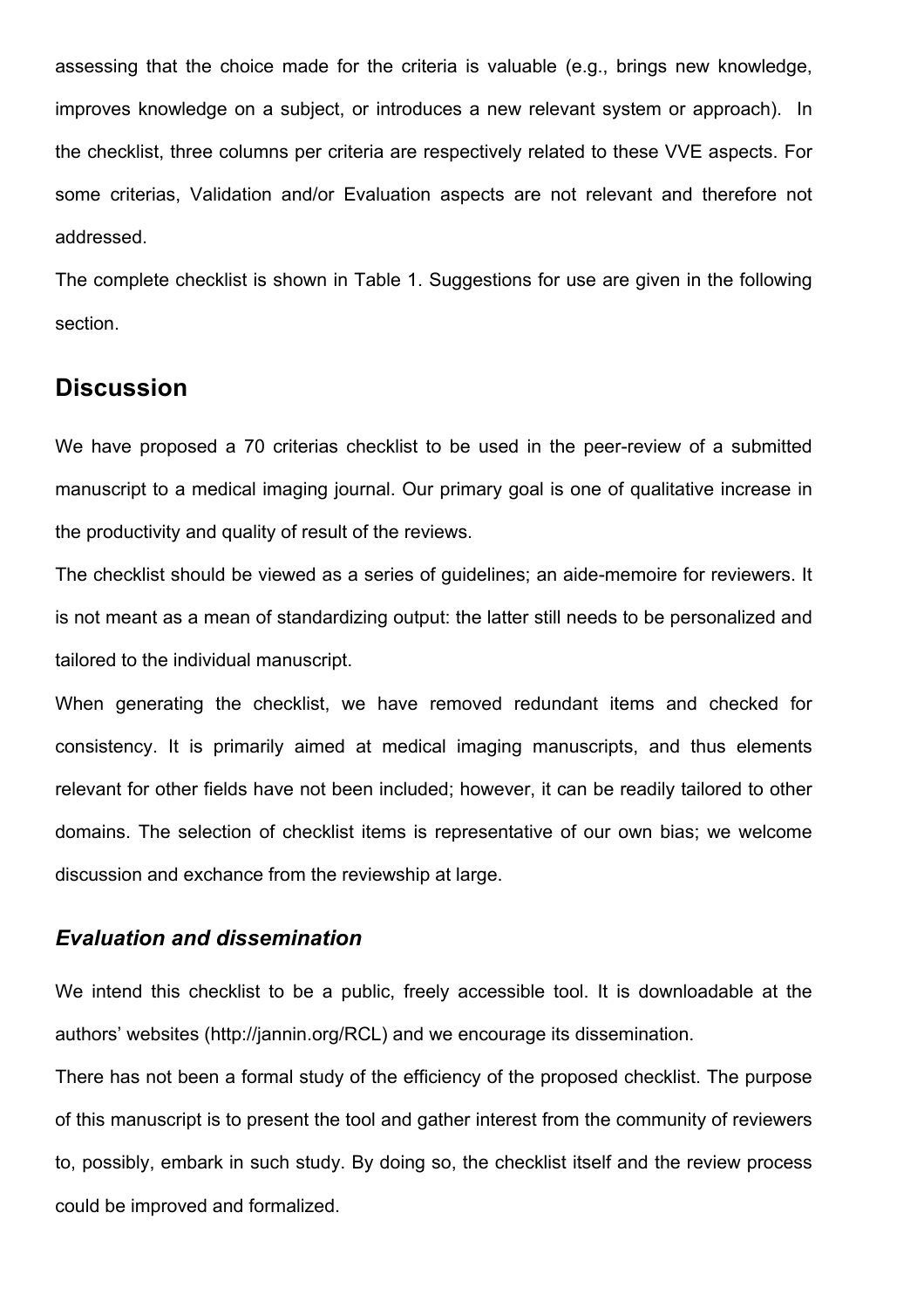assessing that the choice made for the criteria is valuable (e.g., brings new knowledge, improves knowledge on a subject, or introduces a new relevant system or approach). In the checklist, three columns per criteria are respectively related to these VVE aspects. For some criterias, Validation and/or Evaluation aspects are not relevant and therefore not addressed.

The complete checklist is shown in Table 1. Suggestions for use are given in the following section.

# **Discussion**

We have proposed a 70 criterias checklist to be used in the peer-review of a submitted manuscript to a medical imaging journal. Our primary goal is one of qualitative increase in the productivity and quality of result of the reviews.

The checklist should be viewed as a series of guidelines; an aide-memoire for reviewers. It is not meant as a mean of standardizing output: the latter still needs to be personalized and tailored to the individual manuscript.

When generating the checklist, we have removed redundant items and checked for consistency. It is primarily aimed at medical imaging manuscripts, and thus elements relevant for other fields have not been included; however, it can be readily tailored to other domains. The selection of checklist items is representative of our own bias; we welcome discussion and exchance from the reviewship at large.

### *Evaluation and dissemination*

We intend this checklist to be a public, freely accessible tool. It is downloadable at the authors' websites (http://jannin.org/RCL) and we encourage its dissemination.

There has not been a formal study of the efficiency of the proposed checklist. The purpose of this manuscript is to present the tool and gather interest from the community of reviewers to, possibly, embark in such study. By doing so, the checklist itself and the review process could be improved and formalized.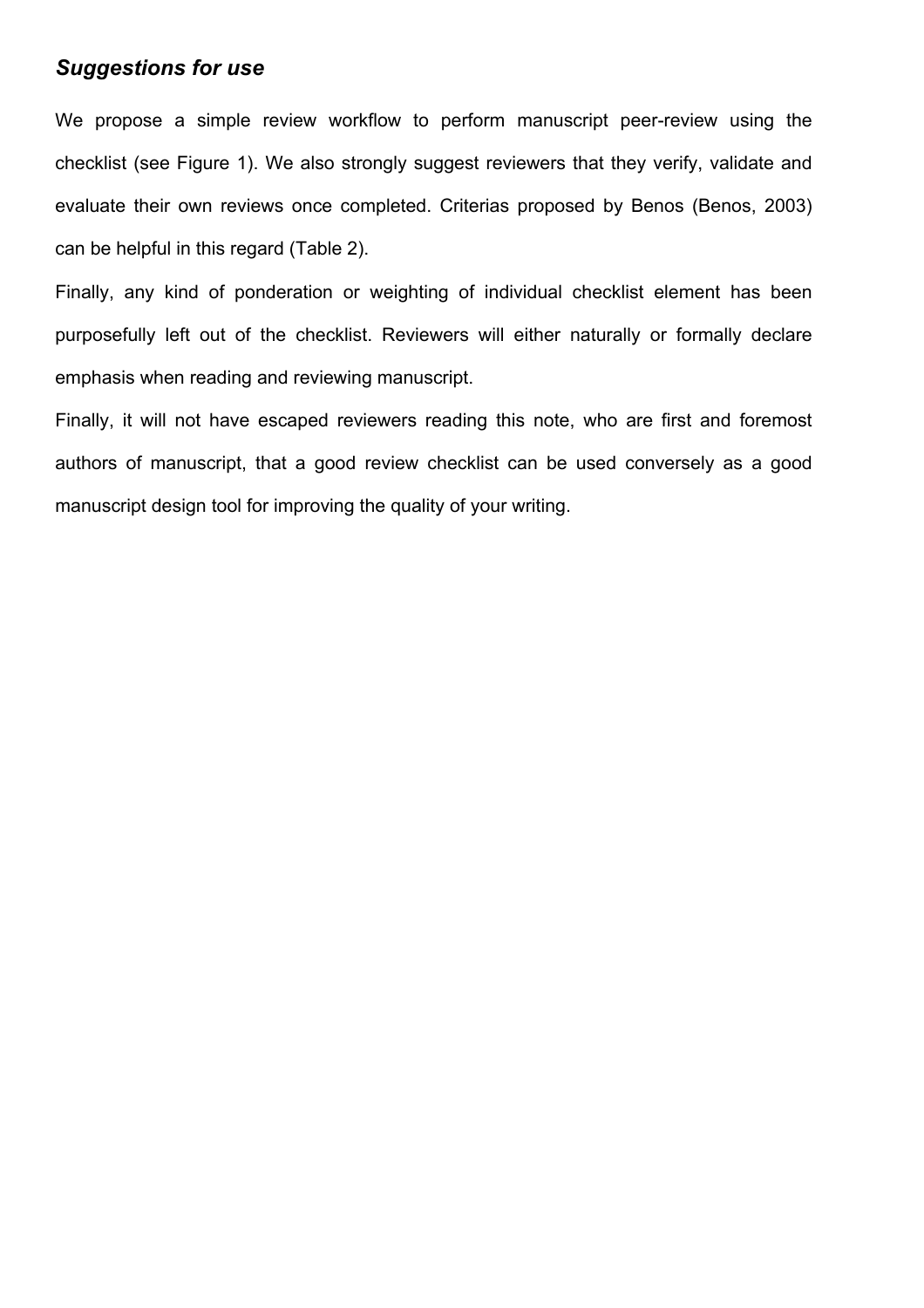## *Suggestions for use*

We propose a simple review workflow to perform manuscript peer-review using the checklist (see Figure 1). We also strongly suggest reviewers that they verify, validate and evaluate their own reviews once completed. Criterias proposed by Benos (Benos, 2003) can be helpful in this regard (Table 2).

Finally, any kind of ponderation or weighting of individual checklist element has been purposefully left out of the checklist. Reviewers will either naturally or formally declare emphasis when reading and reviewing manuscript.

Finally, it will not have escaped reviewers reading this note, who are first and foremost authors of manuscript, that a good review checklist can be used conversely as a good manuscript design tool for improving the quality of your writing.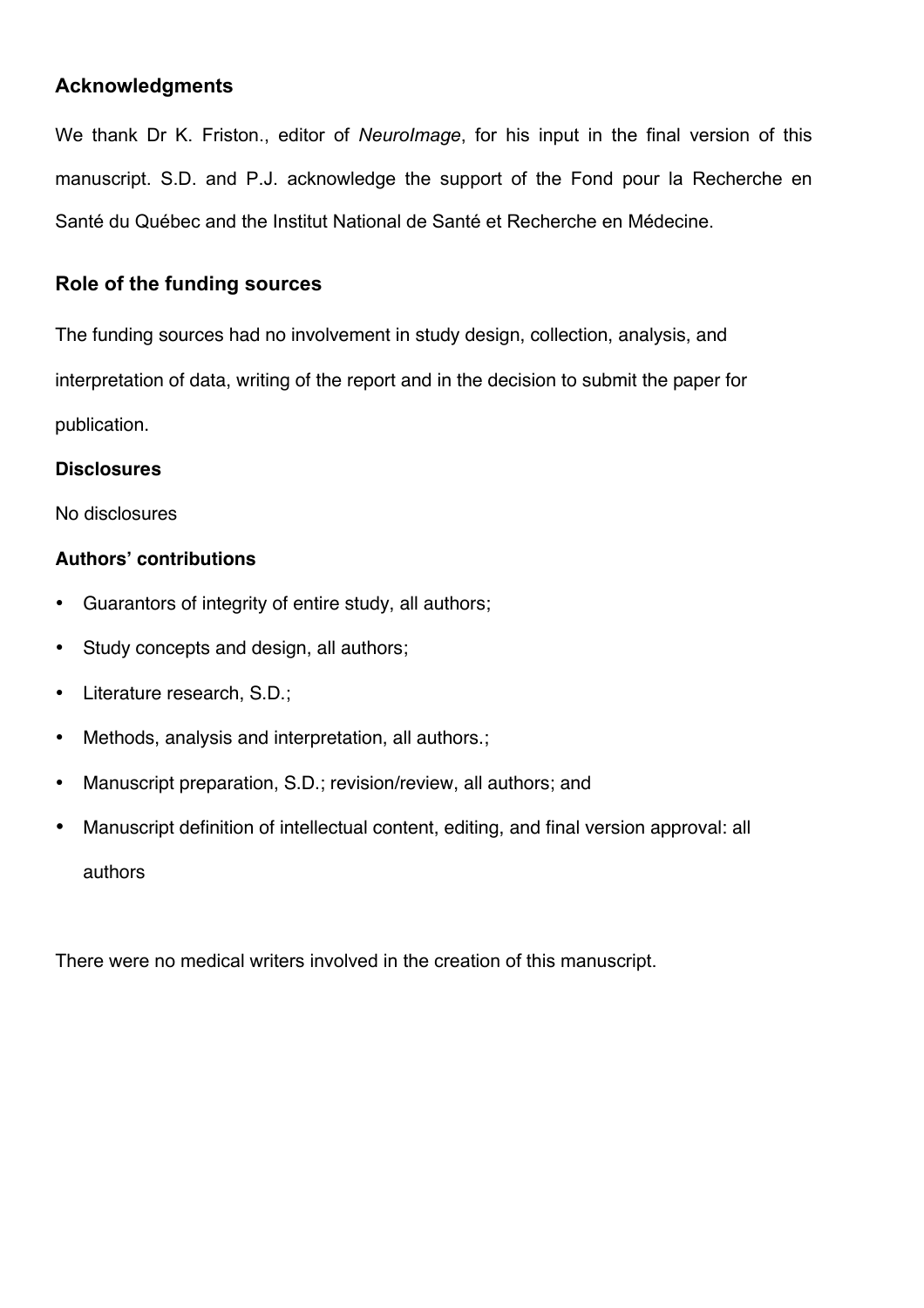### **Acknowledgments**

We thank Dr K. Friston., editor of *NeuroImage*, for his input in the final version of this manuscript. S.D. and P.J. acknowledge the support of the Fond pour la Recherche en Santé du Québec and the Institut National de Santé et Recherche en Médecine.

## **Role of the funding sources**

The funding sources had no involvement in study design, collection, analysis, and interpretation of data, writing of the report and in the decision to submit the paper for publication.

### **Disclosures**

No disclosures

### **Authors' contributions**

- Guarantors of integrity of entire study, all authors;
- Study concepts and design, all authors;
- Literature research, S.D.;
- Methods, analysis and interpretation, all authors.;
- Manuscript preparation, S.D.; revision/review, all authors; and
- Manuscript definition of intellectual content, editing, and final version approval: all authors

There were no medical writers involved in the creation of this manuscript.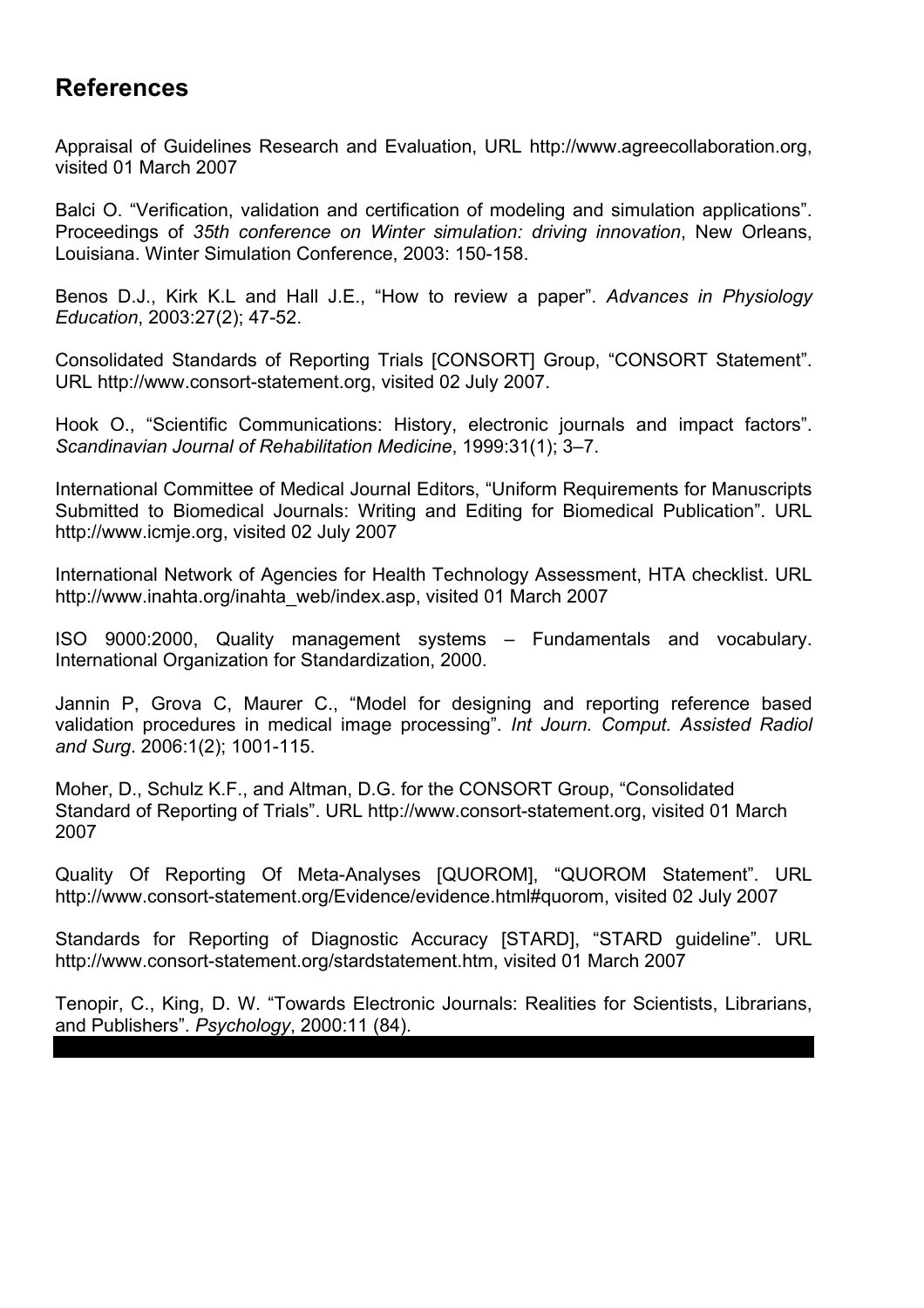# **References**

Appraisal of Guidelines Research and Evaluation, URL http://www.agreecollaboration.org, visited 01 March 2007

Balci O. "Verification, validation and certification of modeling and simulation applications". Proceedings of *35th conference on Winter simulation: driving innovation*, New Orleans, Louisiana. Winter Simulation Conference, 2003: 150-158.

Benos D.J., Kirk K.L and Hall J.E., "How to review a paper". *Advances in Physiology Education*, 2003:27(2); 47-52.

Consolidated Standards of Reporting Trials [CONSORT] Group, "CONSORT Statement". URL http://www.consort-statement.org, visited 02 July 2007.

Hook O., "Scientific Communications: History, electronic journals and impact factors". *Scandinavian Journal of Rehabilitation Medicine*, 1999:31(1); 3–7.

International Committee of Medical Journal Editors, "Uniform Requirements for Manuscripts Submitted to Biomedical Journals: Writing and Editing for Biomedical Publication". URL http://www.icmje.org, visited 02 July 2007

International Network of Agencies for Health Technology Assessment, HTA checklist. URL http://www.inahta.org/inahta\_web/index.asp, visited 01 March 2007

ISO 9000:2000, Quality management systems – Fundamentals and vocabulary. International Organization for Standardization, 2000.

Jannin P, Grova C, Maurer C., "Model for designing and reporting reference based validation procedures in medical image processing". *Int Journ. Comput. Assisted Radiol and Surg*. 2006:1(2); 1001-115.

Moher, D., Schulz K.F., and Altman, D.G. for the CONSORT Group, "Consolidated Standard of Reporting of Trials". URL http://www.consort-statement.org, visited 01 March 2007

Quality Of Reporting Of Meta-Analyses [QUOROM], "QUOROM Statement". URL http://www.consort-statement.org/Evidence/evidence.html#quorom, visited 02 July 2007

Standards for Reporting of Diagnostic Accuracy [STARD], "STARD guideline". URL http://www.consort-statement.org/stardstatement.htm, visited 01 March 2007

Tenopir, C., King, D. W. "Towards Electronic Journals: Realities for Scientists, Librarians, and Publishers". *Psychology*, 2000:11 (84).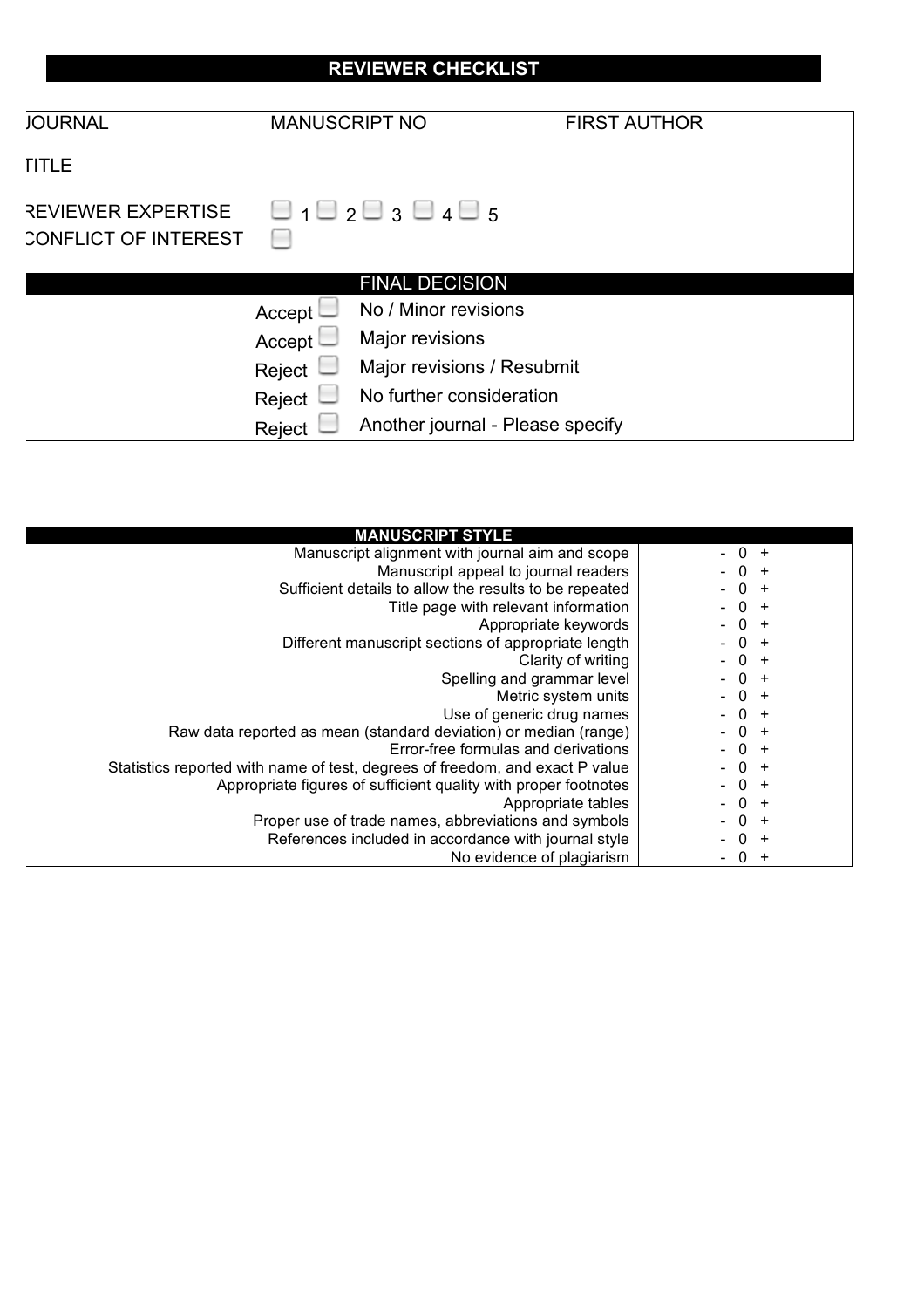| <b>REVIEWER CHECKLIST</b>                                |                      |                                              |                     |  |  |  |
|----------------------------------------------------------|----------------------|----------------------------------------------|---------------------|--|--|--|
| <b>JOURNAL</b>                                           | <b>MANUSCRIPT NO</b> |                                              | <b>FIRST AUTHOR</b> |  |  |  |
| <b>TITLE</b>                                             |                      |                                              |                     |  |  |  |
| <b>REVIEWER EXPERTISE</b><br><b>CONFLICT OF INTEREST</b> |                      | $\Box$ 1 $\Box$ 2 $\Box$ 3 $\Box$ 4 $\Box$ 5 |                     |  |  |  |
|                                                          |                      | <b>FINAL DECISION</b>                        |                     |  |  |  |
|                                                          | Accept               | No / Minor revisions                         |                     |  |  |  |
|                                                          | Accept               | Major revisions                              |                     |  |  |  |
|                                                          | Reject               | Major revisions / Resubmit                   |                     |  |  |  |
|                                                          | Reject               | No further consideration                     |                     |  |  |  |
|                                                          | Reject               | Another journal - Please specify             |                     |  |  |  |

| <b>MANUSCRIPT STYLE</b>                                                      |        |
|------------------------------------------------------------------------------|--------|
| Manuscript alignment with journal aim and scope                              | $-0 +$ |
| Manuscript appeal to journal readers                                         | $-0 +$ |
| Sufficient details to allow the results to be repeated                       | $-0 +$ |
| Title page with relevant information                                         | $-0 +$ |
| Appropriate keywords                                                         | $-0 +$ |
| Different manuscript sections of appropriate length                          | $-0 +$ |
| Clarity of writing                                                           | $-0 +$ |
| Spelling and grammar level                                                   | $-0 +$ |
| Metric system units                                                          | $-0 +$ |
| Use of generic drug names                                                    | $-0 +$ |
| Raw data reported as mean (standard deviation) or median (range)             | $-0 +$ |
| Error-free formulas and derivations                                          | $-0 +$ |
| Statistics reported with name of test, degrees of freedom, and exact P value | $-0 +$ |
| Appropriate figures of sufficient quality with proper footnotes              | $-0 +$ |
| Appropriate tables                                                           | $-0 +$ |
| Proper use of trade names, abbreviations and symbols                         | $-0 +$ |
| References included in accordance with journal style                         | $-0 +$ |
| No evidence of plagiarism                                                    | $-0 +$ |